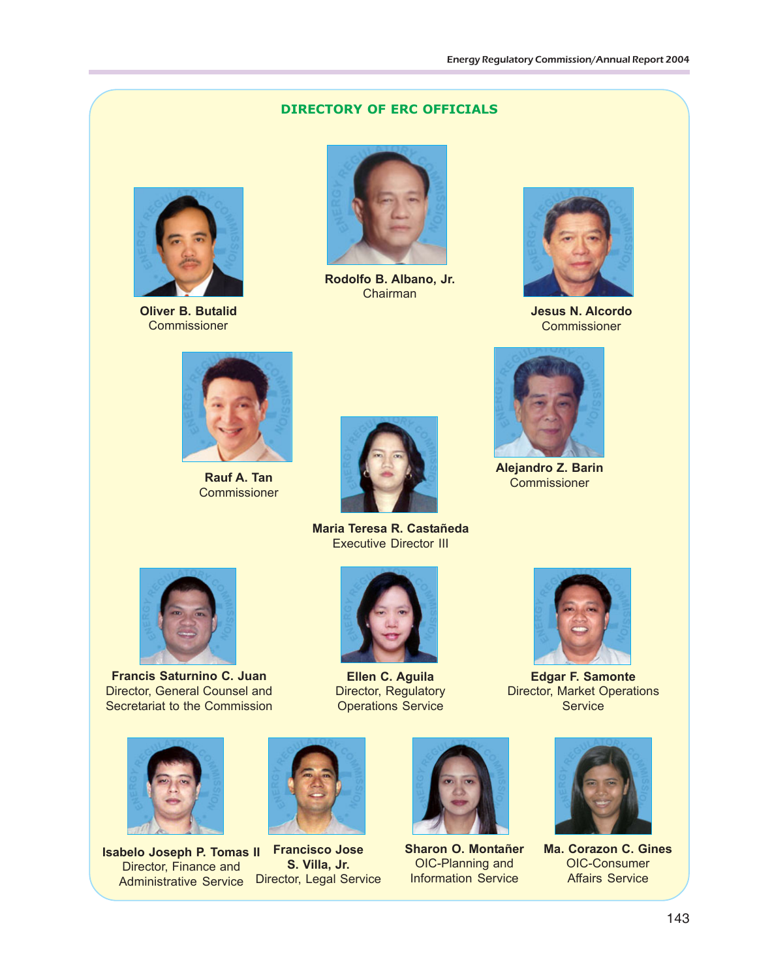## **DIRECTORY OF ERC OFFICIALS**



**Oliver B. Butalid Commissioner** 



**Rodolfo B. Albano, Jr.** Chairman



**Jesus N. Alcordo Commissioner** 



**Rauf A. Tan Commissioner** 



**Maria Teresa R. Castañeda** Executive Director III



**Francis Saturnino C. Juan** Director, General Counsel and Secretariat to the Commission



**Isabelo Joseph P. Tomas II Francisco Jose** Director, Finance and Administrative Service Director, Legal Service



**Ellen C. Aguila** Director, Regulatory Operations Service



**Alejandro Z. Barin** Commissioner

**Edgar F. Samonte** Director, Market Operations **Service** 



**S. Villa, Jr.**



**Sharon O. Montañer** OIC-Planning and Information Service



**Ma. Corazon C. Gines** OIC-Consumer Affairs Service